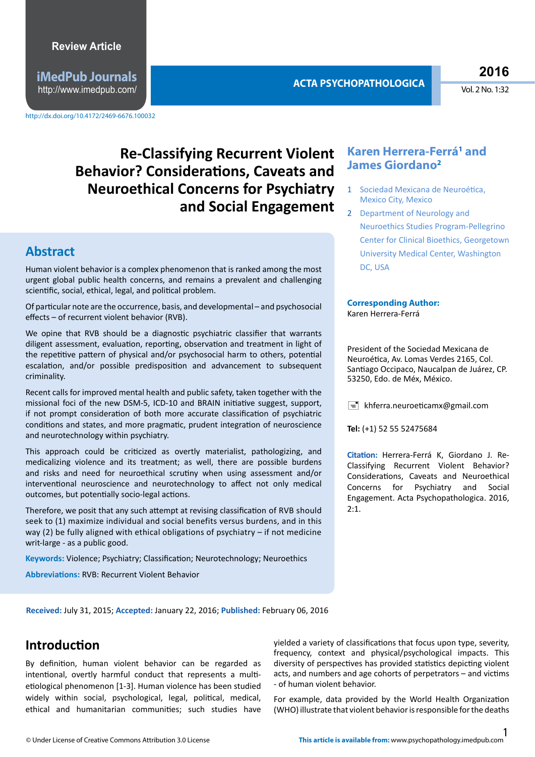**iMedPub Journals** http://www.imedpub.com/ **ACTA PSYCHOPATHOLOGICA** **2016**

Vol. 2 No. 1:32

## Re-Classifying Recurrent Violent **Karen Herrera-Ferrá<sup>1</sup> and Behavior? Considerations, Caveats and Neuroethical Concerns for Psychiatry and Social Engagement**

#### **Abstract**

Human violent behavior is a complex phenomenon that is ranked among the most urgent global public health concerns, and remains a prevalent and challenging scientific, social, ethical, legal, and political problem.

Of particular note are the occurrence, basis, and developmental - and psychosocial efects – of recurrent violent behavior (RVB).

We opine that RVB should be a diagnostic psychiatric classifier that warrants diligent assessment, evaluation, reporting, observation and treatment in light of the repetitive pattern of physical and/or psychosocial harm to others, potential escalation, and/or possible predisposition and advancement to subsequent criminality.

Recent calls for improved mental health and public safety, taken together with the missional foci of the new DSM-5, ICD-10 and BRAIN initatve suggest, support, if not prompt consideration of both more accurate classification of psychiatric conditions and states, and more pragmatic, prudent integration of neuroscience and neurotechnology within psychiatry.

This approach could be critcized as overtly materialist, pathologizing, and medicalizing violence and its treatment; as well, there are possible burdens and risks and need for neuroethical scrutny when using assessment and/or interventonal neuroscience and neurotechnology to afect not only medical outcomes, but potentially socio-legal actions.

Therefore, we posit that any such attempt at revising classification of RVB should seek to (1) maximize individual and social benefits versus burdens, and in this way (2) be fully aligned with ethical obligations of psychiatry – if not medicine writ-large - as a public good.

**Keywords: Violence; Psychiatry; Classification; Neurotechnology; Neuroethics** 

**Abbreviatons:** RVB: Recurrent Violent Behavior

# **James Giordano2**

- 1 Sociedad Mexicana de Neuroética, Mexico City, Mexico
- 2 Department of Neurology and Neuroethics Studies Program-Pellegrino Center for Clinical Bioethics, Georgetown University Medical Center, Washington DC, USA

#### **Corresponding Author:**  Karen Herrera-Ferrá

President of the Sociedad Mexicana de Neuroética, Av. Lomas Verdes 2165, Col. Santiago Occipaco, Naucalpan de Juárez, CP. 53250, Edo. de Méx, México.

 $\equiv$  khferra.neuroeticamx@gmail.com

**Tel:** (+1) 52 55 52475684

**Citaton:** Herrera-Ferrá K, Giordano J. Re-Classifying Recurrent Violent Behavior? Considerations, Caveats and Neuroethical Concerns for Psychiatry and Social Engagement. Acta Psychopathologica. 2016,  $2:1.$ 

**Received:** July 31, 2015; **Accepted:** January 22, 2016; **Published:** February 06, 2016

#### **Introduction**

By definition, human violent behavior can be regarded as intentional, overtly harmful conduct that represents a multietiological phenomenon [1-3]. Human violence has been studied widely within social, psychological, legal, political, medical, ethical and humanitarian communites; such studies have

yielded a variety of classifications that focus upon type, severity, frequency, context and physical/psychological impacts. This diversity of perspectives has provided statistics depicting violent acts, and numbers and age cohorts of perpetrators – and victms - of human violent behavior.

For example, data provided by the World Health Organization (WHO) illustrate that violent behavior is responsible for the deaths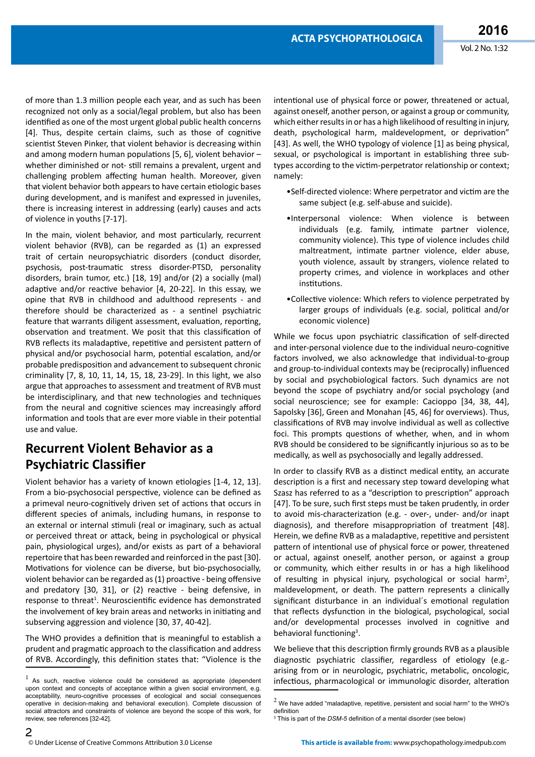of more than 1.3 million people each year, and as such has been recognized not only as a social/legal problem, but also has been identified as one of the most urgent global public health concerns [4]. Thus, despite certain claims, such as those of cognitive scientist Steven Pinker, that violent behavior is decreasing within and among modern human populations [5, 6], violent behavior  $$ whether diminished or not- still remains a prevalent, urgent and challenging problem affecting human health. Moreover, given that violent behavior both appears to have certain etologic bases during development, and is manifest and expressed in juveniles, there is increasing interest in addressing (early) causes and acts of violence in youths [7-17].

In the main, violent behavior, and most particularly, recurrent violent behavior (RVB), can be regarded as (1) an expressed trait of certain neuropsychiatric disorders (conduct disorder, psychosis, post-traumatc stress disorder-PTSD, personality disorders, brain tumor, etc.) [18, 19] and/or (2) a socially (mal) adaptive and/or reactive behavior  $[4, 20-22]$ . In this essay, we opine that RVB in childhood and adulthood represents - and therefore should be characterized as - a sentnel psychiatric feature that warrants diligent assessment, evaluation, reporting, observation and treatment. We posit that this classification of RVB reflects its maladaptive, repetitive and persistent pattern of physical and/or psychosocial harm, potential escalation, and/or probable predispositon and advancement to subsequent chronic criminality [7, 8, 10, 11, 14, 15, 18, 23-29]. In this light, we also argue that approaches to assessment and treatment of RVB must be interdisciplinary, and that new technologies and techniques from the neural and cognitive sciences may increasingly afford information and tools that are ever more viable in their potential use and value.

#### **Recurrent Violent Behavior as a Psychiatric Classifer**

Violent behavior has a variety of known etologies [1-4, 12, 13]. From a bio-psychosocial perspective, violence can be defined as a primeval neuro-cognitively driven set of actions that occurs in diferent species of animals, including humans, in response to an external or internal stimuli (real or imaginary, such as actual or perceived threat or atack, being in psychological or physical pain, physiological urges), and/or exists as part of a behavioral repertoire that has been rewarded and reinforced in the past [30]. Motivations for violence can be diverse, but bio-psychosocially, violent behavior can be regarded as (1) proactive - being offensive and predatory  $[30, 31]$ , or  $(2)$  reactive - being defensive, in response to threat<sup>1</sup>. Neuroscientific evidence has demonstrated the involvement of key brain areas and networks in initiating and subserving aggression and violence [30, 37, 40-42].

The WHO provides a definition that is meaningful to establish a prudent and pragmatic approach to the classification and address of RVB. Accordingly, this definition states that: "Violence is the intentional use of physical force or power, threatened or actual, against oneself, another person, or against a group or community, which either results in or has a high likelihood of resulting in injury, death, psychological harm, maldevelopment, or deprivaton" [43]. As well, the WHO typology of violence [1] as being physical, sexual, or psychological is important in establishing three subtypes according to the victim-perpetrator relationship or context; namely:

- •Self-directed violence: Where perpetrator and victm are the same subject (e.g. self-abuse and suicide).
- •Interpersonal violence: When violence is between individuals (e.g. family, intmate partner violence, community violence). This type of violence includes child maltreatment, intmate partner violence, elder abuse, youth violence, assault by strangers, violence related to property crimes, and violence in workplaces and other institutions.
- •Collectve violence: Which refers to violence perpetrated by larger groups of individuals (e.g. social, political and/or economic violence)

While we focus upon psychiatric classification of self-directed and inter-personal violence due to the individual neuro-cognitve factors involved, we also acknowledge that individual-to-group and group-to-individual contexts may be (reciprocally) infuenced by social and psychobiological factors. Such dynamics are not beyond the scope of psychiatry and/or social psychology (and social neuroscience; see for example: Cacioppo [34, 38, 44], Sapolsky [36], Green and Monahan [45, 46] for overviews). Thus, classifications of RVB may involve individual as well as collective foci. This prompts questions of whether, when, and in whom RVB should be considered to be signifcantly injurious so as to be medically, as well as psychosocially and legally addressed.

In order to classify RVB as a distnct medical entty, an accurate description is a first and necessary step toward developing what Szasz has referred to as a "description to prescription" approach [47]. To be sure, such first steps must be taken prudently, in order to avoid mis-characterizaton (e.g. - over-, under- and/or inapt diagnosis), and therefore misappropriation of treatment [48]. Herein, we define RVB as a maladaptive, repetitive and persistent patern of intentonal use of physical force or power, threatened or actual, against oneself, another person, or against a group or community, which either results in or has a high likelihood of resulting in physical injury, psychological or social harm<sup>2</sup>, maldevelopment, or death. The patern represents a clinically significant disturbance in an individual's emotional regulation that reflects dysfunction in the biological, psychological, social and/or developmental processes involved in cognitive and behavioral functioning<sup>3</sup>.

We believe that this description firmly grounds RVB as a plausible diagnostic psychiatric classifier, regardless of etiology (e.g.arising from or in neurologic, psychiatric, metabolic, oncologic, infectious, pharmacological or immunologic disorder, alteration

3 This is part of the *DSM-5* defnition of a mental disorder (see below)

 $1$  As such, reactive violence could be considered as appropriate (dependent upon context and concepts of acceptance within a given social environment, e.g. acceptability, neuro-cognitive processes of ecological and social consequences operative in decision-making and behavioral execution). Complete discussion of social attractors and constraints of violence are beyond the scope of this work, for review, see references [32-42].

 $<sup>2</sup>$  We have added "maladaptive, repetitive, persistent and social harm" to the WHO's</sup> definition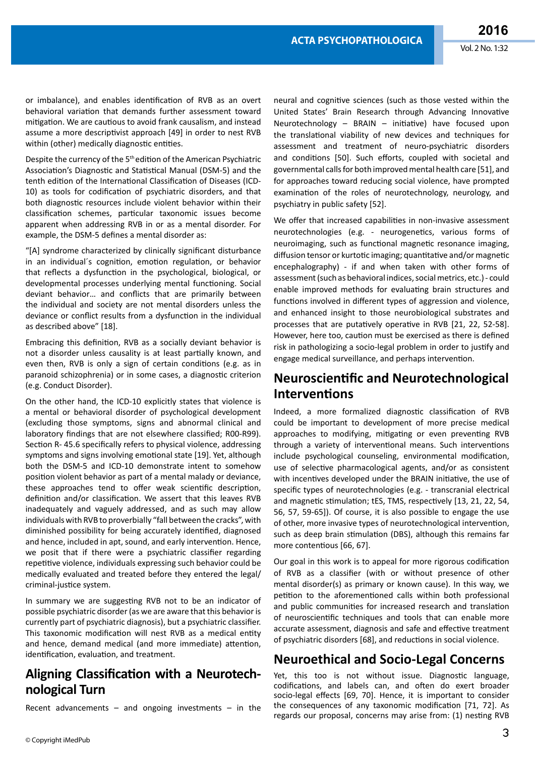or imbalance), and enables identification of RVB as an overt behavioral variaton that demands further assessment toward mitigation. We are cautious to avoid frank causalism, and instead assume a more descriptivist approach [49] in order to nest RVB within (other) medically diagnostic entities.

Despite the currency of the 5<sup>th</sup> edition of the American Psychiatric Association's Diagnostic and Statistical Manual (DSM-5) and the tenth edition of the International Classification of Diseases (ICD-10) as tools for codification of psychiatric disorders, and that both diagnostic resources include violent behavior within their classification schemes, particular taxonomic issues become apparent when addressing RVB in or as a mental disorder. For example, the DSM-5 defnes a mental disorder as:

"[A] syndrome characterized by clinically signifcant disturbance in an individual's cognition, emotion regulation, or behavior that reflects a dysfunction in the psychological, biological, or developmental processes underlying mental functioning. Social deviant behavior… and conficts that are primarily between the individual and society are not mental disorders unless the deviance or conflict results from a dysfunction in the individual as described above" [18].

Embracing this defniton, RVB as a socially deviant behavior is not a disorder unless causality is at least partally known, and even then, RVB is only a sign of certain conditons (e.g. as in paranoid schizophrenia) or in some cases, a diagnostic criterion (e.g. Conduct Disorder).

On the other hand, the ICD-10 explicitly states that violence is a mental or behavioral disorder of psychological development (excluding those symptoms, signs and abnormal clinical and laboratory fndings that are not elsewhere classifed; R00-R99). Section R-45.6 specifically refers to physical violence, addressing symptoms and signs involving emotional state [19]. Yet, although both the DSM-5 and ICD-10 demonstrate intent to somehow positon violent behavior as part of a mental malady or deviance, these approaches tend to offer weak scientific description, definition and/or classification. We assert that this leaves RVB inadequately and vaguely addressed, and as such may allow individuals with RVB to proverbially "fall between the cracks", with diminished possibility for being accurately identified, diagnosed and hence, included in apt, sound, and early intervention. Hence, we posit that if there were a psychiatric classifer regarding repetitive violence, individuals expressing such behavior could be medically evaluated and treated before they entered the legal/ criminal-justice system.

In summary we are suggesting RVB not to be an indicator of possible psychiatric disorder (as we are aware that this behavior is currently part of psychiatric diagnosis), but a psychiatric classifer. This taxonomic modification will nest RVB as a medical entity and hence, demand medical (and more immediate) attention, identification, evaluation, and treatment.

#### Aligning Classification with a Neurotech**nological Turn**

Recent advancements – and ongoing investments – in the

neural and cognitve sciences (such as those vested within the United States' Brain Research through Advancing Innovatve Neurotechnology – BRAIN – initiative) have focused upon the translational viability of new devices and techniques for assessment and treatment of neuro-psychiatric disorders and conditions [50]. Such efforts, coupled with societal and governmental calls for both improved mental health care [51], and for approaches toward reducing social violence, have prompted examination of the roles of neurotechnology, neurology, and psychiatry in public safety [52].

We offer that increased capabilities in non-invasive assessment neurotechnologies (e.g. - neurogenetics, various forms of neuroimaging, such as functional magnetic resonance imaging, diffusion tensor or kurtotic imaging; quantitative and/or magnetic encephalography) - if and when taken with other forms of assessment (such as behavioral indices, social metrics, etc.) - could enable improved methods for evaluating brain structures and functions involved in different types of aggression and violence, and enhanced insight to those neurobiological substrates and processes that are putatively operative in RVB [21, 22, 52-58]. However, here too, cauton must be exercised as there is defned risk in pathologizing a socio-legal problem in order to justfy and engage medical surveillance, and perhaps interventon.

#### **Neuroscientific and Neurotechnological Interventons**

Indeed, a more formalized diagnostic classification of RVB could be important to development of more precise medical approaches to modifying, mitigating or even preventing RVB through a variety of interventional means. Such interventions include psychological counseling, environmental modifcaton, use of selective pharmacological agents, and/or as consistent with incentives developed under the BRAIN initiative, the use of specific types of neurotechnologies (e.g. - transcranial electrical and magnetic stimulation; tES, TMS, respectively [13, 21, 22, 54, 56, 57, 59-65]). Of course, it is also possible to engage the use of other, more invasive types of neurotechnological interventon, such as deep brain stimulation (DBS), although this remains far more contentious [66, 67].

Our goal in this work is to appeal for more rigorous codifcaton of RVB as a classifer (with or without presence of other mental disorder(s) as primary or known cause). In this way, we petition to the aforementioned calls within both professional and public communities for increased research and translation of neuroscientific techniques and tools that can enable more accurate assessment, diagnosis and safe and effective treatment of psychiatric disorders [68], and reductions in social violence.

#### **Neuroethical and Socio-Legal Concerns**

Yet, this too is not without issue. Diagnostic language, codifications, and labels can, and often do exert broader socio-legal effects [69, 70]. Hence, it is important to consider the consequences of any taxonomic modification [71, 72]. As regards our proposal, concerns may arise from: (1) nesting RVB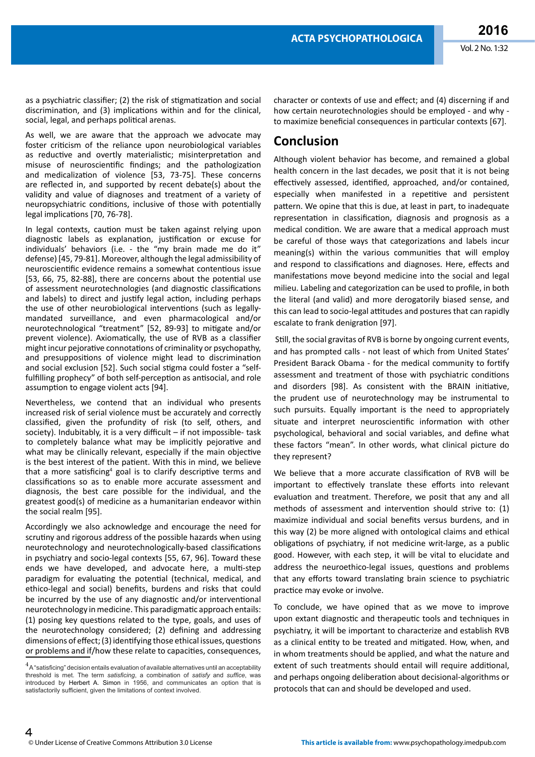as a psychiatric classifier; (2) the risk of stigmatization and social discrimination, and (3) implications within and for the clinical, social, legal, and perhaps political arenas.

As well, we are aware that the approach we advocate may foster criticism of the reliance upon neurobiological variables as reductive and overtly materialistic; misinterpretation and misuse of neuroscientific findings; and the pathologization and medicalization of violence [53, 73-75]. These concerns are refected in, and supported by recent debate(s) about the validity and value of diagnoses and treatment of a variety of neuropsychiatric conditons, inclusive of those with potentally legal implications [70, 76-78].

In legal contexts, caution must be taken against relying upon diagnostic labels as explanation, justification or excuse for individuals' behaviors (i.e. - the "my brain made me do it" defense) [45, 79-81]. Moreover, although the legal admissibility of neuroscientific evidence remains a somewhat contentious issue [53, 66, 75, 82-88], there are concerns about the potential use of assessment neurotechnologies (and diagnostic classifications and labels) to direct and justify legal action, including perhaps the use of other neurobiological interventons (such as legallymandated surveillance, and even pharmacological and/or neurotechnological "treatment" [52, 89-93] to mitgate and/or prevent violence). Axiomatically, the use of RVB as a classifier might incur pejorative connotations of criminality or psychopathy, and presuppositons of violence might lead to discriminaton and social exclusion [52]. Such social stigma could foster a "selffulfilling prophecy" of both self-perception as antisocial, and role assumption to engage violent acts [94].

Nevertheless, we contend that an individual who presents increased risk of serial violence must be accurately and correctly classifed, given the profundity of risk (to self, others, and society). Indubitably, it is a very difficult  $-$  if not impossible-task to completely balance what may be implicitly pejorative and what may be clinically relevant, especially if the main objective is the best interest of the patient. With this in mind, we believe that a more satisficing<sup>4</sup> goal is to clarify descriptive terms and classifications so as to enable more accurate assessment and diagnosis, the best care possible for the individual, and the greatest good(s) of medicine as a humanitarian endeavor within the social realm [95].

Accordingly we also acknowledge and encourage the need for scrutny and rigorous address of the possible hazards when using neurotechnology and neurotechnologically-based classifcatons in psychiatry and socio-legal contexts [55, 67, 96]. Toward these ends we have developed, and advocate here, a mult-step paradigm for evaluating the potential (technical, medical, and ethico-legal and social) benefts, burdens and risks that could be incurred by the use of any diagnostic and/or interventional neurotechnology in medicine. This paradigmatic approach entails: (1) posing key questons related to the type, goals, and uses of the neurotechnology considered; (2) defning and addressing dimensions of effect; (3) identifying those ethical issues, questions or problems and if/how these relate to capacities, consequences,

character or contexts of use and efect; and (4) discerning if and how certain neurotechnologies should be employed - and why to maximize beneficial consequences in particular contexts [67].

### **Conclusion**

Although violent behavior has become, and remained a global health concern in the last decades, we posit that it is not being effectively assessed, identified, approached, and/or contained, especially when manifested in a repetitive and persistent pattern. We opine that this is due, at least in part, to inadequate representation in classification, diagnosis and prognosis as a medical conditon. We are aware that a medical approach must be careful of those ways that categorizations and labels incur meaning(s) within the various communities that will employ and respond to classifications and diagnoses. Here, effects and manifestations move beyond medicine into the social and legal milieu. Labeling and categorizaton can be used to profle, in both the literal (and valid) and more derogatorily biased sense, and this can lead to socio-legal attitudes and postures that can rapidly escalate to frank denigration [97].

Still, the social gravitas of RVB is borne by ongoing current events, and has prompted calls - not least of which from United States' President Barack Obama - for the medical community to fortfy assessment and treatment of those with psychiatric conditons and disorders [98]. As consistent with the BRAIN initiative, the prudent use of neurotechnology may be instrumental to such pursuits. Equally important is the need to appropriately situate and interpret neuroscientific information with other psychological, behavioral and social variables, and defne what these factors "mean". In other words, what clinical picture do they represent?

We believe that a more accurate classification of RVB will be important to effectively translate these efforts into relevant evaluation and treatment. Therefore, we posit that any and all methods of assessment and intervention should strive to: (1) maximize individual and social benefts versus burdens, and in this way (2) be more aligned with ontological claims and ethical obligations of psychiatry, if not medicine writ-large, as a public good. However, with each step, it will be vital to elucidate and address the neuroethico-legal issues, questions and problems that any efforts toward translating brain science to psychiatric practice may evoke or involve.

To conclude, we have opined that as we move to improve upon extant diagnostic and therapeutic tools and techniques in psychiatry, it will be important to characterize and establish RVB as a clinical entty to be treated and mitgated. How, when, and in whom treatments should be applied, and what the nature and extent of such treatments should entail will require additional, and perhaps ongoing deliberation about decisional-algorithms or protocols that can and should be developed and used.

 $^4$  A "satisficing" decision entails evaluation of available alternatives until an acceptability threshold is met. The term *satisfcing*, a combination of *satisfy* and *suffce*, was introduced by [Herbert A. Simon](https://en.wikipedia.org/wiki/Herbert_A._Simon) in 1956, and communicates an option that is satisfactorily sufficient, given the limitations of context involved.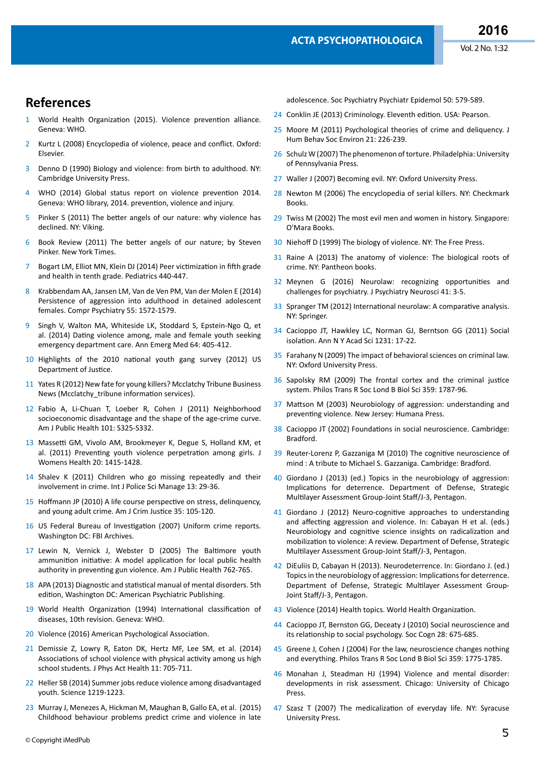#### **References**

- World Health Organization (2015). Violence prevention alliance. Geneva: WHO.
- 2 [Kurtz L \(2008\) Encyclopedia of violence, peace and confict. Oxford:](https://www.elsevier.com/books/encyclopedia-of-violence-peace-and-conflict/kurtz/978-0-12-369503-1)  [Elsevier.](https://www.elsevier.com/books/encyclopedia-of-violence-peace-and-conflict/kurtz/978-0-12-369503-1)
- 3 Denno D (1990) Biology and violence: from birth to adulthood. NY: Cambridge University Press.
- 4 [WHO \(2014\) Global status report on violence preventon 2014.](http://www.who.int/violence_injury_prevention/violence/status_report/2014/en/)  Geneva: WHO library, 2014. prevention, violence and injury.
- 5 Pinker S (2011) The better angels of our nature: why violence has [declined. NY: Viking.](http://stevenpinker.com/publications/better-angels-our-nature)
- 6 Book Review (2011) The beter angels of our nature; by Steven Pinker. New York Times.
- 7 Bogart LM, Elliot MN, Klein DJ (2014) Peer victimization in fifth grade [and health in tenth grade. Pediatrics 440-447.](http://pediatrics.aappublications.org/content/early/2014/02/11/peds.2013-3510)
- 8 [Krabbendam AA, Jansen LM, Van de Ven PM, Van der Molen E \(2014\)](http://www.sciencedirect.com/science/article/pii/S0010440X1400114X)  [Persistence of aggression into adulthood in detained adolescent](http://www.sciencedirect.com/science/article/pii/S0010440X1400114X)  [females. Compr Psychiatry 55: 1572-1579.](http://www.sciencedirect.com/science/article/pii/S0010440X1400114X)
- 9 [Singh V, Walton MA, Whiteside LK, Stoddard S, Epstein-Ngo Q, et](http://www.ncbi.nlm.nih.gov/pubmed/24993689)  al. (2014) Dating violence among, male and female youth seeking [emergency department care. Ann Emerg Med 64: 405-412.](http://www.ncbi.nlm.nih.gov/pubmed/24993689)
- 10 Highlights of the 2010 national youth gang survey (2012) US Department of Justice.
- 11 [Yates R \(2012\) New fate for young killers? Mcclatchy Tribune Business](http://articles.mcall.com/2012-08-25/news/mc-pennsylvania-supreme-court-juveniles-life-priso-20120825_1_life-sentences-state-prison-inmate-unusual-punishment)  News (Mcclatchy tribune information services).
- 12 [Fabio A, Li-Chuan T, Loeber R, Cohen J \(2011\) Neighborhood](http://www.ncbi.nlm.nih.gov/pubmed/21778512)  [socioeconomic disadvantage and the shape of the age-crime curve.](http://www.ncbi.nlm.nih.gov/pubmed/21778512)  [Am J Public Health 101: S325-S332.](http://www.ncbi.nlm.nih.gov/pubmed/21778512)
- 13 Massetti GM, Vivolo AM, Brookmeyer K, Degue S, Holland KM, et al. (2011) Preventing youth violence perpetration among girls. J [Womens Health 20: 1415-1428.](http://www.ncbi.nlm.nih.gov/pubmed/21875306)
- 14 [Shalev K \(2011\) Children who go missing repeatedly and their](https://researchportal.port.ac.uk/portal/en/publications/children-who-go-missing-repeatedly-and-their-involvement-in-crime(08ecb470-48e3-428f-a855-ae07fb1881b4).html)  [involvement in crime. Int J Police Sci Manage 13: 29-36.](https://researchportal.port.ac.uk/portal/en/publications/children-who-go-missing-repeatedly-and-their-involvement-in-crime(08ecb470-48e3-428f-a855-ae07fb1881b4).html)
- 15 Hoffmann JP (2010) A life course perspective on stress, delinquency, and young adult crime. Am J Crim Justice 35: 105-120.
- 16 US Federal Bureau of Investigation (2007) Uniform crime reports. Washington DC: FBI Archives.
- 17 [Lewin N, Vernick J, Webster D \(2005\) The Baltmore youth](http://www.ncbi.nlm.nih.gov/pmc/articles/PMC1449251/)  [ammuniton initatve: A model applicaton for local public health](http://www.ncbi.nlm.nih.gov/pmc/articles/PMC1449251/)  authority in preventing gun violence. Am J Public Health 762-765.
- 18 APA (2013) Diagnostic and statistical manual of mental disorders. 5th editon, Washington DC: American Psychiatric Publishing.
- 19 World Health Organization (1994) International classification of diseases, 10th revision. Geneva: WHO.
- 20 [Violence \(2016\) American Psychological Associaton.](http://www.apa.org/pi/prevent-violence/)
- 21 [Demissie Z, Lowry R, Eaton DK, Hertz MF, Lee SM, et al. \(2014\)](http://www.ncbi.nlm.nih.gov/pubmed/25078515)  Associations of school violence with physical activity among us high [school students. J Phys Act Health 11: 705-711.](http://www.ncbi.nlm.nih.gov/pubmed/25078515)
- 22 [Heller SB \(2014\) Summer jobs reduce violence among disadvantaged](http://science.sciencemag.org/content/346/6214/1219.full)  [youth. Science 1219-1223.](http://science.sciencemag.org/content/346/6214/1219.full)
- 23 [Murray J, Menezes A, Hickman M, Maughan B, Gallo EA, et al. \(2015\)](http://www.ncbi.nlm.nih.gov/pubmed/25319112)  [Childhood behaviour problems predict crime and violence in late](http://www.ncbi.nlm.nih.gov/pubmed/25319112)

[adolescence. Soc Psychiatry Psychiatr Epidemol 50: 579-589.](http://www.ncbi.nlm.nih.gov/pubmed/25319112)

- 24 Conklin JE (2013) Criminology. Eleventh edition. USA: Pearson.
- 25 [Moore M \(2011\) Psychological theories of crime and deliquency. J](http://www.tandfonline.com/doi/abs/10.1080/10911359.2011.564552)  [Hum Behav Soc Environ 21: 226-239.](http://www.tandfonline.com/doi/abs/10.1080/10911359.2011.564552)
- 26 [Schulz W \(2007\) The phenomenon of torture. Philadelphia: University](http://www.jstor.org/stable/j.ctt3fhsvg)  [of Pennsylvania Press.](http://www.jstor.org/stable/j.ctt3fhsvg)
- 27 [Waller J \(2007\) Becoming evil. NY: Oxford University Press.](https://global.oup.com/academic/product/becoming-evil-9780195314564?cc=in&lang=en&)
- 28 [Newton M \(2006\) The encyclopedia of serial killers. NY: Checkmark](https://www.google.co.in/url?sa=t&rct=j&q=&esrc=s&source=web&cd=2&ved=0ahUKEwjJxYnRpr_KAhXDPo4KHeUQBM8QFggiMAE&url=http%3A%2F%2Fwww.amazon.com%2FEncyclopedia-Serial-Killers-Michael-Newton%2Fdp%2F081603978X&usg=AFQjCNHP_SlRPvzpx8GkEULkez-QGvI1LA&bvm=bv.112454388,d.c2E&cad=rja)  [Books.](https://www.google.co.in/url?sa=t&rct=j&q=&esrc=s&source=web&cd=2&ved=0ahUKEwjJxYnRpr_KAhXDPo4KHeUQBM8QFggiMAE&url=http%3A%2F%2Fwww.amazon.com%2FEncyclopedia-Serial-Killers-Michael-Newton%2Fdp%2F081603978X&usg=AFQjCNHP_SlRPvzpx8GkEULkez-QGvI1LA&bvm=bv.112454388,d.c2E&cad=rja)
- 29 [Twiss M \(2002\) The most evil men and women in history. Singapore:](http://www.amazon.com/The-Most-Evil-Women-History/dp/1854794884)  [O'Mara Books.](http://www.amazon.com/The-Most-Evil-Women-History/dp/1854794884)
- 30 Niehoff D (1999) The biology of violence. NY: The Free Press.
- 31 [Raine A \(2013\) The anatomy of violence: The biological roots of](http://www.academia.edu/8295394/Raine_A._2013_._The_Anatomy_of_Violence_The_Biological_Roots_of_Crime._Allen_Lane_London)  [crime. NY: Pantheon books.](http://www.academia.edu/8295394/Raine_A._2013_._The_Anatomy_of_Violence_The_Biological_Roots_of_Crime._Allen_Lane_London)
- 32 [Meynen G \(2016\) Neurolaw: recognizing opportunites and](http://www.ncbi.nlm.nih.gov/pmc/articles/PMC4688026/)  [challenges for psychiatry. J Psychiatry Neurosci 41: 3-5.](http://www.ncbi.nlm.nih.gov/pmc/articles/PMC4688026/)
- 33 Spranger TM (2012) International neurolaw: A comparative analysis. [NY: Springer.](http://www.springer.com/in/book/9783642215407)
- 34 [Cacioppo JT, Hawkley LC, Norman GJ, Berntson GG \(2011\) Social](http://www.ncbi.nlm.nih.gov/pubmed/21651565)  isolation. Ann N Y Acad Sci 1231: 17-22.
- 35 [Farahany N \(2009\) The impact of behavioral sciences on criminal law.](https://global.oup.com/academic/product/the-impact-of-behavioral-sciences-on-criminal-law-9780195340525?cc=in&lang=en&)  [NY: Oxford University Press.](https://global.oup.com/academic/product/the-impact-of-behavioral-sciences-on-criminal-law-9780195340525?cc=in&lang=en&)
- 36 Sapolsky RM (2009) The frontal cortex and the criminal justice [system. Philos Trans R Soc Lond B Biol Sci 359: 1787-96.](http://www.ncbi.nlm.nih.gov/pubmed/15590619)
- 37 Mattson M (2003) Neurobiology of aggression: understanding and preventng violence. New Jersey: Humana Press.
- 38 Cacioppo JT (2002) Foundations in social neuroscience. Cambridge: [Bradford.](http://www.johncacioppo.com/books/foundations-in-social-neuroscience)
- 39 Reuter-Lorenz P, Gazzaniga M (2010) The cognitive neuroscience of [mind : A tribute to Michael S. Gazzaniga. Cambridge: Bradford.](https://mitpress.mit.edu/books/cognitive-neuroscience-mind)
- 40 [Giordano J \(2013\) \(ed.\) Topics in the neurobiology of aggression:](http://www.neurobioethics.org/pubs.html)  Implications for deterrence. Department of Defense, Strategic [Multlayer Assessment Group-Joint Staf/J-3, Pentagon.](http://www.neurobioethics.org/pubs.html)
- 41 [Giordano J \(2012\) Neuro-cognitve approaches to understanding](http://explore.georgetown.edu/people/jg353/?Action=ViewPublications)  and affecting aggression and violence. In: Cabayan H et al. (eds.) [Neurobiology and cognitve science insights on radicalizaton and](http://explore.georgetown.edu/people/jg353/?Action=ViewPublications)  mobilization to violence: A review. Department of Defense, Strategic [Multlayer Assessment Group-Joint Staf/J-3, Pentagon.](http://explore.georgetown.edu/people/jg353/?Action=ViewPublications)
- 42 DiEuliis D, Cabayan H (2013). Neurodeterrence. In: Giordano J. (ed.) Topics in the neurobiology of aggression: Implications for deterrence. Department of Defense, Strategic Multlayer Assessment Group-Joint Staff/J-3, Pentagon.
- 43 [Violence \(2014\) Health topics. World Health Organizaton.](http://www.who.int/topics/violence/en/)
- 44 [Cacioppo JT, Bernston GG, Deceaty J \(2010\) Social neuroscience and](http://www.ncbi.nlm.nih.gov/pubmed/24409007)  its relationship to social psychology. Soc Cogn 28: 675-685.
- 45 [Greene J, Cohen J \(2004\) For the law, neuroscience changes nothing](http://www.ncbi.nlm.nih.gov/pubmed/15590618)  [and everything. Philos Trans R Soc Lond B Biol Sci 359: 1775-1785.](http://www.ncbi.nlm.nih.gov/pubmed/15590618)
- 46 [Monahan J, Steadman HJ \(1994\) Violence and mental disorder:](http://press.uchicago.edu/ucp/books/book/chicago/V/bo3684057.html)  [developments in risk assessment. Chicago: University of Chicago](http://press.uchicago.edu/ucp/books/book/chicago/V/bo3684057.html)  [Press.](http://press.uchicago.edu/ucp/books/book/chicago/V/bo3684057.html)
- 47 [Szasz T \(2007\) The medicalizaton of everyday life. NY: Syracuse](http://fee.org/files/doclib/0712szasz.pdf)  [University Press.](http://fee.org/files/doclib/0712szasz.pdf)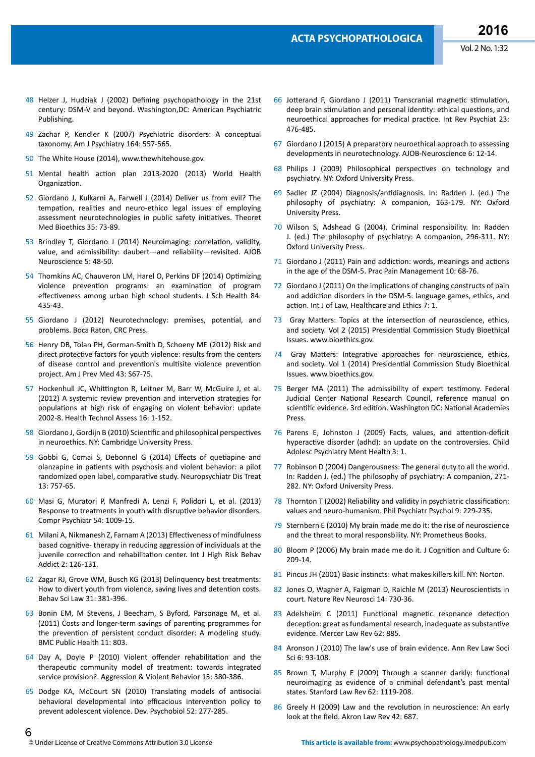- 48 [Helzer J, Hudziak J \(2002\) Defning psychopathology in the 21st](https://repository.library.georgetown.edu/handle/10822/547058)  [century: DSM-V and beyond. Washington,DC: American Psychiatric](https://repository.library.georgetown.edu/handle/10822/547058)  [Publishing.](https://repository.library.georgetown.edu/handle/10822/547058)
- 49 [Zachar P, Kendler K \(2007\) Psychiatric disorders: A conceptual](http://www.ncbi.nlm.nih.gov/pubmed/17403967)  [taxonomy. Am J Psychiatry 164: 557-565.](http://www.ncbi.nlm.nih.gov/pubmed/17403967)
- 50 The White House (2014), [www.thewhitehouse.gov.](http://www.thewhitehouse.gov/)
- 51 Mental health action plan 2013-2020 (2013) World Health Organization.
- 52 [Giordano J, Kulkarni A, Farwell J \(2014\) Deliver us from evil? The](http://www.ncbi.nlm.nih.gov/pubmed/24442931)  tempation, realities and neuro-ethico legal issues of employing assessment neurotechnologies in public safety initiatives. Theoret [Med Bioethics 35: 73-89](http://www.ncbi.nlm.nih.gov/pubmed/24442931).
- 53 [Brindley T, Giordano J \(2014\) Neuroimaging: correlaton, validity,](http://www.tandfonline.com/doi/abs/10.1080/21507740.2014.884186?journalCode=uabn20)  [value, and admissibility: daubert—and reliability—revisited. AJOB](http://www.tandfonline.com/doi/abs/10.1080/21507740.2014.884186?journalCode=uabn20)  [Neuroscience 5: 48-50.](http://www.tandfonline.com/doi/abs/10.1080/21507740.2014.884186?journalCode=uabn20)
- 54 [Thomkins AC, Chauveron LM, Harel O, Perkins DF \(2014\) Optmizing](http://www.ncbi.nlm.nih.gov/pubmed/24889080)  violence prevention programs: an examination of program effectiveness among urban high school students. J Sch Health 84: [435-43.](http://www.ncbi.nlm.nih.gov/pubmed/24889080)
- 55 [Giordano J \(2012\) Neurotechnology: premises, potental, and](https://www.crcpress.com/Neurotechnology-Premises-Potential-and-Problems/Giordano/9781439825860)  [problems. Boca Raton, CRC Press.](https://www.crcpress.com/Neurotechnology-Premises-Potential-and-Problems/Giordano/9781439825860)
- 56 [Henry DB, Tolan PH, Gorman-Smith D, Schoeny ME \(2012\) Risk and](http://www.ncbi.nlm.nih.gov/pubmed/22789959)  direct protective factors for youth violence: results from the centers of disease control and prevention's multisite violence prevention [project. Am J Prev Med 43: S67-75.](http://www.ncbi.nlm.nih.gov/pubmed/22789959)
- 57 Hockenhull JC, Whittington R, Leitner M, Barr W, McGuire J, et al. [\(2012\) A systemic review preventon and interveton strategies for](http://www.ncbi.nlm.nih.gov/pubmed/22330980)  populations at high risk of engaging on violent behavior: update [2002-8. Health Technol Assess 16: 1-152.](http://www.ncbi.nlm.nih.gov/pubmed/22330980)
- 58 Giordano J, Gordijn B (2010) Scientific and philosophical perspectives [in neuroethics. NY: Cambridge University Press.](http://www.cambridge.org/us/academic/subjects/life-sciences/bioethics/scientific-and-philosophical-perspectives-neuroethics)
- 59 [Gobbi G, Comai S, Debonnel G \(2014\) Efects of quetapine and](http://www.ncbi.nlm.nih.gov/pubmed/24855361)  [olanzapine in patents with psychosis and violent behavior: a pilot](http://www.ncbi.nlm.nih.gov/pubmed/24855361)  randomized open label, comparative study. Neuropsychiatr Dis Treat [13: 757-65.](http://www.ncbi.nlm.nih.gov/pubmed/24855361)
- 60 [Masi G, Muratori P, Manfredi A, Lenzi F, Polidori L, et al. \(2013\)](http://www.ncbi.nlm.nih.gov/pubmed/23683839)  Response to treatments in youth with disruptive behavior disorders. [Compr Psychiatr 54: 1009-15.](http://www.ncbi.nlm.nih.gov/pubmed/23683839)
- 61 [Milani A, Nikmanesh Z, Farnam A \(2013\) Efectveness of mindfulness](http://www.ncbi.nlm.nih.gov/pubmed/24971290)  [based cognitve- therapy in reducing aggression of individuals at the](http://www.ncbi.nlm.nih.gov/pubmed/24971290)  juvenile correction and rehabilitation center. Int J High Risk Behav [Addict 2: 126-131.](http://www.ncbi.nlm.nih.gov/pubmed/24971290)
- 62 [Zagar RJ, Grove WM, Busch KG \(2013\) Delinquency best treatments:](http://www.ncbi.nlm.nih.gov/pubmed/23733324)  How to divert youth from violence, saving lives and detention costs. [Behav Sci Law 31: 381-396.](http://www.ncbi.nlm.nih.gov/pubmed/23733324)
- 63 [Bonin EM, M Stevens, J Beecham, S Byford, Parsonage M, et al.](http://www.ncbi.nlm.nih.gov/pubmed/21999434)  [\(2011\) Costs and longer-term savings of parentng programmes for](http://www.ncbi.nlm.nih.gov/pubmed/21999434)  the prevention of persistent conduct disorder: A modeling study. [BMC Public Health 11: 803.](http://www.ncbi.nlm.nih.gov/pubmed/21999434)
- 64 Day A, Doyle P (2010) Violent offender rehabilitation and the therapeutic community model of treatment: towards integrated [service provision?. Aggression & Violent Behavior 15: 380-386.](http://www.sciencedirect.com/science/article/pii/S1359178910000431)
- 65 [Dodge KA, McCourt SN \(2010\) Translatng models of antsocial](http://www.ncbi.nlm.nih.gov/pubmed/20175096)  behavioral developmental into efficacious intervention policy to [prevent adolescent violence. Dev. Psychobiol 52: 277-285.](http://www.ncbi.nlm.nih.gov/pubmed/20175096)
- 66 Jotterand F, Giordano J (2011) Transcranial magnetic stimulation, deep brain stimulation and personal identity: ethical questions, and neuroethical approaches for medical practice. Int Rev Psychiat 23: [476-485.](http://www.ncbi.nlm.nih.gov/pubmed/22200137)
- 67 [Giordano J \(2015\) A preparatory neuroethical approach to assessing](https://www.researchgate.net/publication/270962582_A_Preparatory_Neuroethical_Approach_to_Assessing_Developments_in_Neurotechnology)  [developments in neurotechnology. AJOB-Neuroscience 6: 12-14.](https://www.researchgate.net/publication/270962582_A_Preparatory_Neuroethical_Approach_to_Assessing_Developments_in_Neurotechnology)
- 68 [Philips J \(2009\) Philosophical perspectves on technology and](http://www.oupcanada.com/catalog/9780199207428.html)  [psychiatry. NY: Oxford University Press.](http://www.oupcanada.com/catalog/9780199207428.html)
- 69 Sadler JZ (2004) Diagnosis/antdiagnosis. In: Radden J. (ed.) The philosophy of psychiatry: A companion, 163-179. NY: Oxford University Press.
- 70 Wilson S, Adshead G (2004). Criminal responsibility. In: Radden J. (ed.) The philosophy of psychiatry: A companion, 296-311. NY: Oxford University Press.
- 71 Giordano J (2011) Pain and addiction: words, meanings and actions [in the age of the DSM-5. Prac Pain Management 10: 68-76.](http://www.practicalpainmanagement.com/resources/ethics/pain-addiction-words-meanings-actions-age-dsm-5)
- 72 Giordano J (2011) On the implications of changing constructs of pain and addiction disorders in the DSM-5: language games, ethics, and action. Int J of Law, Healthcare and Ethics 7: 1.
- 73 Gray Matters: Topics at the intersection of neuroscience, ethics, [and society. Vol 2 \(2015\) Presidental Commission Study Bioethical](http://bioethics.gov/sites/default/files/GrayMatter_V2_508.pdf)  [Issues. www.bioethics.gov.](http://bioethics.gov/sites/default/files/GrayMatter_V2_508.pdf)
- 74 Gray Matters: Integrative approaches for neuroscience, ethics, and society. Vol 1 (2014) Presidential Commission Study Bioethical Issues. www.bioethics.gov.
- 75 Berger MA (2011) The admissibility of expert testmony. Federal Judicial Center National Research Council, reference manual on scientific evidence. 3rd edition. Washington DC: National Academies Press.
- 76 Parens E, Johnston J (2009) Facts, values, and attention-deficit hyperactive disorder (adhd): an update on the controversies. Child [Adolesc Psychiatry Ment Health 3: 1.](http://www.ncbi.nlm.nih.gov/pubmed/19152690)
- 77 Robinson D (2004) Dangerousness: The general duty to all the world. In: Radden J. (ed.) The philosophy of psychiatry: A companion, 271- 282. NY: Oxford University Press.
- 78 Thornton T (2002) Reliability and validity in psychiatric classifcaton: values and neuro-humanism. Phil Psychiatr Psychol 9: 229-235.
- 79 [Sternbern E \(2010\) My brain made me do it: the rise of neuroscience](https://www.google.co.in/url?sa=t&rct=j&q=&esrc=s&source=web&cd=1&ved=0ahUKEwiMwYf80L_KAhVOGY4KHdFtBiQQFggeMAA&url=http%3A%2F%2Fwww.prometheusbooks.com%2Findex.php%3Fmain_page%3Dproduct_info%26products_id%3D1962&usg=AFQjCNFsyxWCZwJonkMRszVkKL5ffpGA9g&bvm=bv.112454388,d.c2E&cad=rja)  [and the threat to moral responsbility. NY: Prometheus Books.](https://www.google.co.in/url?sa=t&rct=j&q=&esrc=s&source=web&cd=1&ved=0ahUKEwiMwYf80L_KAhVOGY4KHdFtBiQQFggeMAA&url=http%3A%2F%2Fwww.prometheusbooks.com%2Findex.php%3Fmain_page%3Dproduct_info%26products_id%3D1962&usg=AFQjCNFsyxWCZwJonkMRszVkKL5ffpGA9g&bvm=bv.112454388,d.c2E&cad=rja)
- 80 Bloom P (2006) My brain made me do it. J Cognition and Culture 6: [209-14.](https://www.researchgate.net/publication/249579045_My_brain_made_me_do_it)
- 81 Pincus JH (2001) Basic instincts: what makes killers kill. NY: Norton.
- 82 Jones O, Wagner A, Faigman D, Raichle M (2013) Neuroscientists in [court. Nature Rev Neurosci 14: 730-36.](http://www.nature.com/nrn/journal/v14/n10/full/nrn3585.html)
- 83 Adelsheim C (2011) Functional magnetic resonance detection deception: great as fundamental research, inadequate as substantive [evidence. Mercer Law Rev 62: 885.](https://litigation-essentials.lexisnexis.com/webcd/app?action=DocumentDisplay&crawlid=1&doctype=cite&docid=62+Mercer+L.+Rev.+885&srctype=smi&srcid=3B15&key=780344c1b70fe3cfa5140635fe3195fe)
- 84 Aronson J (2010) The law's use of brain evidence. Ann Rev Law Soci [Sci 6: 93-108.](http://www.annualreviews.org/doi/abs/10.1146/annurev-lawsocsci-102209-152948)
- 85 Brown T, Murphy E (2009) Through a scanner darkly: functional [neuroimaging as evidence of a criminal defendant's past mental](http://www.stanfordlawreview.org/print/article/through-scanner-darkly-functional-neuroimaging-evidence-criminal-defendants-past-menta)  [states. Stanford Law Rev 62: 1119-208.](http://www.stanfordlawreview.org/print/article/through-scanner-darkly-functional-neuroimaging-evidence-criminal-defendants-past-menta)
- 86 Greely H (2009) Law and the revolution in neuroscience: An early look at the field. Akron Law Rev 42: 687.